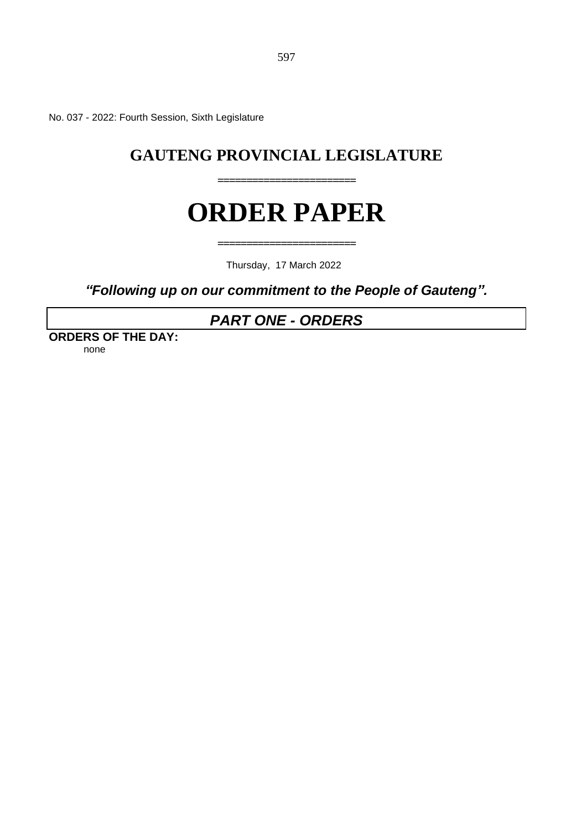No. 037 - 2022: Fourth Session, Sixth Legislature

# **GAUTENG PROVINCIAL LEGISLATURE**

**========================**

# **ORDER PAPER**

Thursday, 17 March 2022

**========================**

*"Following up on our commitment to the People of Gauteng".*

# *PART ONE - ORDERS*

**ORDERS OF THE DAY:** none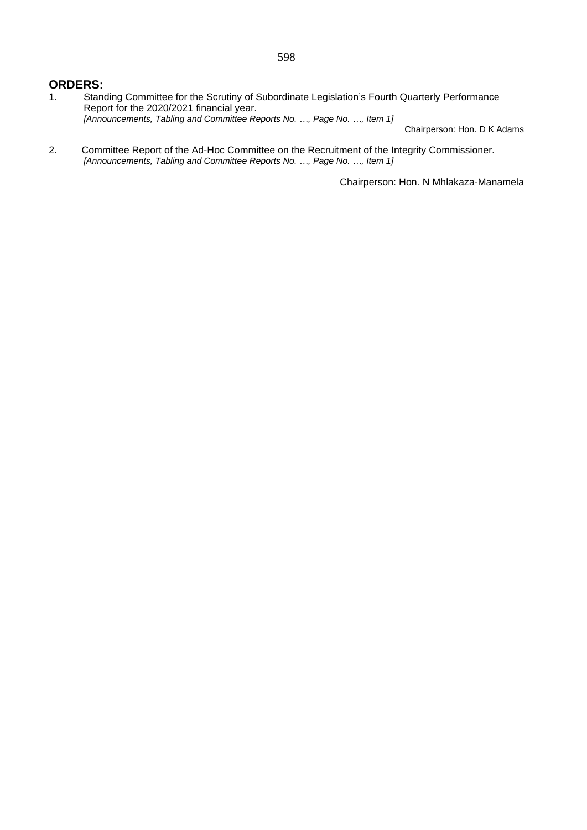### **ORDERS:**

- 1. Standing Committee for the Scrutiny of Subordinate Legislation's Fourth Quarterly Performance Report for the 2020/2021 financial year. *[Announcements, Tabling and Committee Reports No. …, Page No. …, Item 1]* Chairperson: Hon. D K Adams
- 2. Committee Report of the Ad-Hoc Committee on the Recruitment of the Integrity Commissioner. *[Announcements, Tabling and Committee Reports No. …, Page No. …, Item 1]*

Chairperson: Hon. N Mhlakaza-Manamela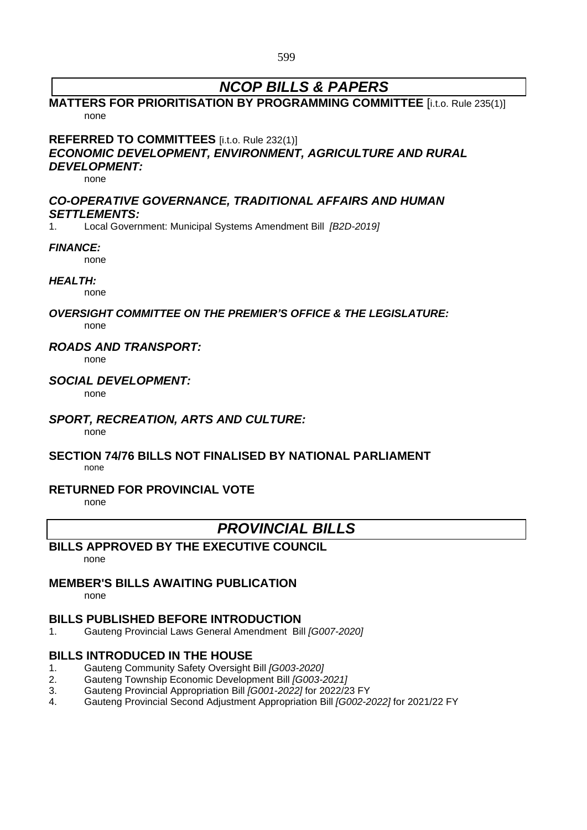599

# *NCOP BILLS & PAPERS*

# **MATTERS FOR PRIORITISATION BY PROGRAMMING COMMITTEE** [i.t.o. Rule 235(1)] none

**REFERRED TO COMMITTEES** [i.t.o. Rule 232(1)]

### *ECONOMIC DEVELOPMENT, ENVIRONMENT, AGRICULTURE AND RURAL DEVELOPMENT:*

none

# *CO-OPERATIVE GOVERNANCE, TRADITIONAL AFFAIRS AND HUMAN SETTLEMENTS:*

1. Local Government: Municipal Systems Amendment Bill *[B2D-2019]*

### *FINANCE:*

none

### *HEALTH:*

none

#### *OVERSIGHT COMMITTEE ON THE PREMIER'S OFFICE & THE LEGISLATURE:* none

### *ROADS AND TRANSPORT:*

none

### *SOCIAL DEVELOPMENT:*

none

# *SPORT, RECREATION, ARTS AND CULTURE:*

none

# **SECTION 74/76 BILLS NOT FINALISED BY NATIONAL PARLIAMENT**

none

### **RETURNED FOR PROVINCIAL VOTE**

none

# *PROVINCIAL BILLS*

# **BILLS APPROVED BY THE EXECUTIVE COUNCIL**

none

### **MEMBER'S BILLS AWAITING PUBLICATION**

none

# **BILLS PUBLISHED BEFORE INTRODUCTION**

1. Gauteng Provincial Laws General Amendment Bill *[G007-2020]*

# **BILLS INTRODUCED IN THE HOUSE**

- 1. Gauteng Community Safety Oversight Bill *[G003-2020]*
- 2. Gauteng Township Economic Development Bill *[G003-2021]*
- 3. Gauteng Provincial Appropriation Bill *[G001-2022]* for 2022/23 FY
- 4. Gauteng Provincial Second Adjustment Appropriation Bill *[G002-2022]* for 2021/22 FY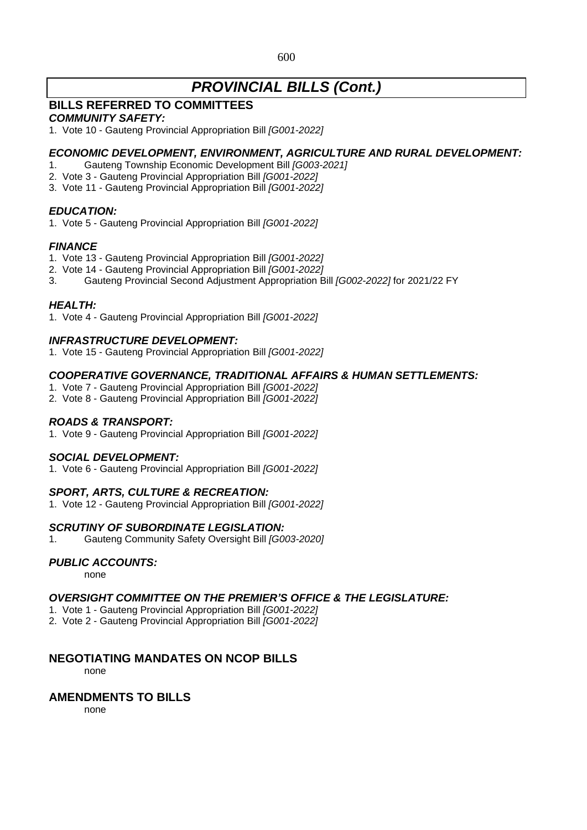### 600

# *PROVINCIAL BILLS (Cont.)*

# **BILLS REFERRED TO COMMITTEES**

### *COMMUNITY SAFETY:*

1. Vote 10 - Gauteng Provincial Appropriation Bill *[G001-2022]*

### *ECONOMIC DEVELOPMENT, ENVIRONMENT, AGRICULTURE AND RURAL DEVELOPMENT:*

- 1. Gauteng Township Economic Development Bill *[G003-2021]*
- 2. Vote 3 Gauteng Provincial Appropriation Bill *[G001-2022]*
- 3. Vote 11 Gauteng Provincial Appropriation Bill *[G001-2022]*

### *EDUCATION:*

1. Vote 5 - Gauteng Provincial Appropriation Bill *[G001-2022]*

### *FINANCE*

- 1. Vote 13 Gauteng Provincial Appropriation Bill *[G001-2022]*
- 2. Vote 14 Gauteng Provincial Appropriation Bill *[G001-2022]*
- 3. Gauteng Provincial Second Adjustment Appropriation Bill *[G002-2022]* for 2021/22 FY

### *HEALTH:*

1. Vote 4 - Gauteng Provincial Appropriation Bill *[G001-2022]*

### *INFRASTRUCTURE DEVELOPMENT:*

1. Vote 15 - Gauteng Provincial Appropriation Bill *[G001-2022]*

### *COOPERATIVE GOVERNANCE, TRADITIONAL AFFAIRS & HUMAN SETTLEMENTS:*

- 1. Vote 7 Gauteng Provincial Appropriation Bill *[G001-2022]*
- 2. Vote 8 Gauteng Provincial Appropriation Bill *[G001-2022]*

### *ROADS & TRANSPORT:*

1. Vote 9 - Gauteng Provincial Appropriation Bill *[G001-2022]*

### *SOCIAL DEVELOPMENT:*

1. Vote 6 - Gauteng Provincial Appropriation Bill *[G001-2022]*

### *SPORT, ARTS, CULTURE & RECREATION:*

1. Vote 12 - Gauteng Provincial Appropriation Bill *[G001-2022]*

### *SCRUTINY OF SUBORDINATE LEGISLATION:*

1. Gauteng Community Safety Oversight Bill *[G003-2020]*

### *PUBLIC ACCOUNTS:*

none

### *OVERSIGHT COMMITTEE ON THE PREMIER'S OFFICE & THE LEGISLATURE:*

- 1. Vote 1 Gauteng Provincial Appropriation Bill *[G001-2022]*
- 2. Vote 2 Gauteng Provincial Appropriation Bill *[G001-2022]*

### **NEGOTIATING MANDATES ON NCOP BILLS**

none

### **AMENDMENTS TO BILLS**

none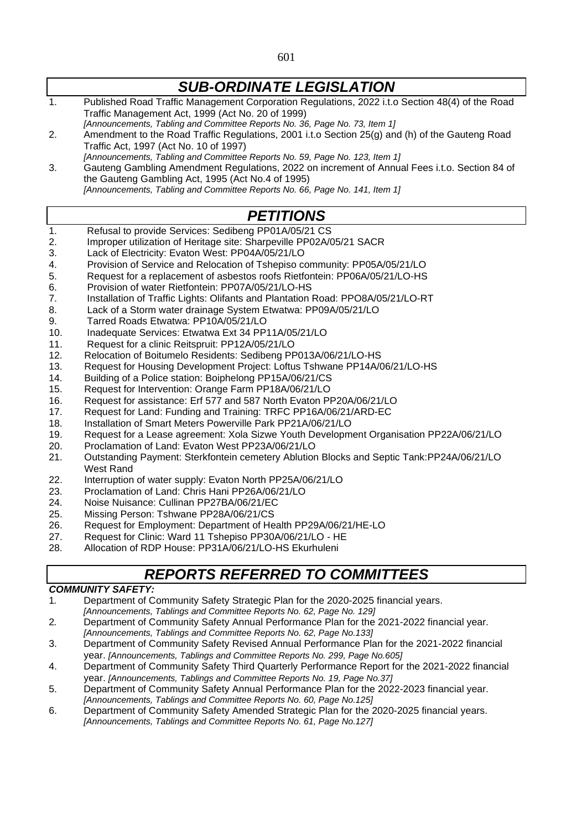1. Published Road Traffic Management Corporation Regulations, 2022 i.t.o Section 48(4) of the Road Traffic Management Act, 1999 (Act No. 20 of 1999) *[Announcements, Tabling and Committee Reports No. 36, Page No. 73, Item 1]* 2. Amendment to the Road Traffic Regulations, 2001 i.t.o Section 25(g) and (h) of the Gauteng Road Traffic Act, 1997 (Act No. 10 of 1997) *[Announcements, Tabling and Committee Reports No. 59, Page No. 123, Item 1]*

3. Gauteng Gambling Amendment Regulations, 2022 on increment of Annual Fees i.t.o. Section 84 of the Gauteng Gambling Act, 1995 (Act No.4 of 1995) *[Announcements, Tabling and Committee Reports No. 66, Page No. 141, Item 1]*

# *PETITIONS*

- 1. Refusal to provide Services: Sedibeng PP01A/05/21 CS
- 2. Improper utilization of Heritage site: Sharpeville PP02A/05/21 SACR
- 3. Lack of Electricity: Evaton West: PP04A/05/21/LO
- 4. Provision of Service and Relocation of Tshepiso community: PP05A/05/21/LO
- 5. Request for a replacement of asbestos roofs Rietfontein: PP06A/05/21/LO-HS
- 6. Provision of water Rietfontein: PP07A/05/21/LO-HS
- 7. Installation of Traffic Lights: Olifants and Plantation Road: PPO8A/05/21/LO-RT
- 8. Lack of a Storm water drainage System Etwatwa: PP09A/05/21/LO
- 9. Tarred Roads Etwatwa: PP10A/05/21/LO
- 10. Inadequate Services: Etwatwa Ext 34 PP11A/05/21/LO
- 11. Request for a clinic Reitspruit: PP12A/05/21/LO
- 12. Relocation of Boitumelo Residents: Sedibeng PP013A/06/21/LO-HS
- 13. Request for Housing Development Project: Loftus Tshwane PP14A/06/21/LO-HS
- 14. Building of a Police station: Boiphelong PP15A/06/21/CS
- 15. Request for Intervention: Orange Farm PP18A/06/21/LO
- 16. Request for assistance: Erf 577 and 587 North Evaton PP20A/06/21/LO
- 17. Request for Land: Funding and Training: TRFC PP16A/06/21/ARD-EC
- 18. Installation of Smart Meters Powerville Park PP21A/06/21/LO
- 19. Request for a Lease agreement: Xola Sizwe Youth Development Organisation PP22A/06/21/LO
- 20. Proclamation of Land: Evaton West PP23A/06/21/LO
- 21. Outstanding Payment: Sterkfontein cemetery Ablution Blocks and Septic Tank:PP24A/06/21/LO West Rand
- 22. Interruption of water supply: Evaton North PP25A/06/21/LO
- 23. Proclamation of Land: Chris Hani PP26A/06/21/LO
- 24. Noise Nuisance: Cullinan PP27BA/06/21/EC
- 25. Missing Person: Tshwane PP28A/06/21/CS
- 26. Request for Employment: Department of Health PP29A/06/21/HE-LO
- 27. Request for Clinic: Ward 11 Tshepiso PP30A/06/21/LO HE
- 28. Allocation of RDP House: PP31A/06/21/LO-HS Ekurhuleni

# *REPORTS REFERRED TO COMMITTEES*

### *COMMUNITY SAFETY:*

- 1*.* Department of Community Safety Strategic Plan for the 2020-2025 financial years.
- *[Announcements, Tablings and Committee Reports No. 62, Page No. 129]*
- 2*.* Department of Community Safety Annual Performance Plan for the 2021-2022 financial year. *[Announcements, Tablings and Committee Reports No. 62, Page No.133]*
- 3. Department of Community Safety Revised Annual Performance Plan for the 2021-2022 financial year. *[Announcements, Tablings and Committee Reports No. 299, Page No.605]*
- 4. Department of Community Safety Third Quarterly Performance Report for the 2021-2022 financial year. *[Announcements, Tablings and Committee Reports No. 19, Page No.37]*
- 5. Department of Community Safety Annual Performance Plan for the 2022-2023 financial year. *[Announcements, Tablings and Committee Reports No. 60, Page No.125]*
- 6. Department of Community Safety Amended Strategic Plan for the 2020-2025 financial years. *[Announcements, Tablings and Committee Reports No. 61, Page No.127]*

*SUB-ORDINATE LEGISLATION*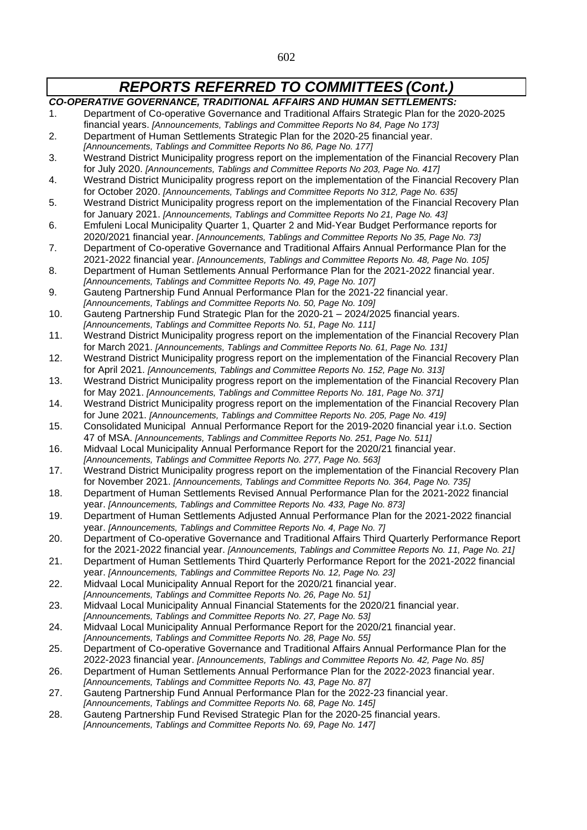| <b>CO-OPERATIVE GOVERNANCE, TRADITIONAL AFFAIRS AND HUMAN SETTLEMENTS:</b> |                                                                                                                                                               |
|----------------------------------------------------------------------------|---------------------------------------------------------------------------------------------------------------------------------------------------------------|
| 1.                                                                         | Department of Co-operative Governance and Traditional Affairs Strategic Plan for the 2020-2025                                                                |
|                                                                            | financial years. [Announcements, Tablings and Committee Reports No 84, Page No 173]                                                                           |
| 2.                                                                         | Department of Human Settlements Strategic Plan for the 2020-25 financial year.                                                                                |
|                                                                            | [Announcements, Tablings and Committee Reports No 86, Page No. 177]                                                                                           |
| 3.                                                                         | Westrand District Municipality progress report on the implementation of the Financial Recovery Plan                                                           |
|                                                                            | for July 2020. [Announcements, Tablings and Committee Reports No 203, Page No. 417]                                                                           |
| 4.                                                                         | Westrand District Municipality progress report on the implementation of the Financial Recovery Plan                                                           |
|                                                                            | for October 2020. [Announcements, Tablings and Committee Reports No 312, Page No. 635]                                                                        |
| 5.                                                                         | Westrand District Municipality progress report on the implementation of the Financial Recovery Plan                                                           |
|                                                                            | for January 2021. [Announcements, Tablings and Committee Reports No 21, Page No. 43]                                                                          |
| 6.                                                                         | Emfuleni Local Municipality Quarter 1, Quarter 2 and Mid-Year Budget Performance reports for                                                                  |
|                                                                            | 2020/2021 financial year. [Announcements, Tablings and Committee Reports No 35, Page No. 73]                                                                  |
| 7.                                                                         | Department of Co-operative Governance and Traditional Affairs Annual Performance Plan for the                                                                 |
|                                                                            | 2021-2022 financial year. [Announcements, Tablings and Committee Reports No. 48, Page No. 105]                                                                |
| 8.                                                                         | Department of Human Settlements Annual Performance Plan for the 2021-2022 financial year.                                                                     |
|                                                                            | [Announcements, Tablings and Committee Reports No. 49, Page No. 107]                                                                                          |
| 9.                                                                         | Gauteng Partnership Fund Annual Performance Plan for the 2021-22 financial year.                                                                              |
|                                                                            | [Announcements, Tablings and Committee Reports No. 50, Page No. 109]                                                                                          |
| 10.                                                                        | Gauteng Partnership Fund Strategic Plan for the 2020-21 - 2024/2025 financial years.                                                                          |
|                                                                            | [Announcements, Tablings and Committee Reports No. 51, Page No. 111]                                                                                          |
| 11.                                                                        | Westrand District Municipality progress report on the implementation of the Financial Recovery Plan                                                           |
|                                                                            | for March 2021. [Announcements, Tablings and Committee Reports No. 61, Page No. 131]                                                                          |
| 12.                                                                        | Westrand District Municipality progress report on the implementation of the Financial Recovery Plan                                                           |
|                                                                            | for April 2021. [Announcements, Tablings and Committee Reports No. 152, Page No. 313]                                                                         |
| 13.                                                                        | Westrand District Municipality progress report on the implementation of the Financial Recovery Plan                                                           |
|                                                                            | for May 2021. [Announcements, Tablings and Committee Reports No. 181, Page No. 371]                                                                           |
| 14.                                                                        | Westrand District Municipality progress report on the implementation of the Financial Recovery Plan                                                           |
|                                                                            | for June 2021. [Announcements, Tablings and Committee Reports No. 205, Page No. 419]                                                                          |
| 15.                                                                        | Consolidated Municipal Annual Performance Report for the 2019-2020 financial year i.t.o. Section                                                              |
|                                                                            | 47 of MSA. [Announcements, Tablings and Committee Reports No. 251, Page No. 511]                                                                              |
| 16.                                                                        | Midvaal Local Municipality Annual Performance Report for the 2020/21 financial year.<br>[Announcements, Tablings and Committee Reports No. 277, Page No. 563] |
| 17.                                                                        | Westrand District Municipality progress report on the implementation of the Financial Recovery Plan                                                           |
|                                                                            | for November 2021. [Announcements, Tablings and Committee Reports No. 364, Page No. 735]                                                                      |
| 18.                                                                        | Department of Human Settlements Revised Annual Performance Plan for the 2021-2022 financial                                                                   |
|                                                                            | year. [Announcements, Tablings and Committee Reports No. 433, Page No. 873]                                                                                   |
| 19.                                                                        | Department of Human Settlements Adjusted Annual Performance Plan for the 2021-2022 financial                                                                  |
|                                                                            | year. [Announcements, Tablings and Committee Reports No. 4, Page No. 7]                                                                                       |
| 20.                                                                        | Department of Co-operative Governance and Traditional Affairs Third Quarterly Performance Report                                                              |
|                                                                            | for the 2021-2022 financial year. [Announcements, Tablings and Committee Reports No. 11, Page No. 21]                                                         |
| 21.                                                                        | Department of Human Settlements Third Quarterly Performance Report for the 2021-2022 financial                                                                |
|                                                                            | year. [Announcements, Tablings and Committee Reports No. 12, Page No. 23]                                                                                     |
| 22.                                                                        | Midvaal Local Municipality Annual Report for the 2020/21 financial year.                                                                                      |
|                                                                            | [Announcements, Tablings and Committee Reports No. 26, Page No. 51]                                                                                           |
| 23.                                                                        | Midvaal Local Municipality Annual Financial Statements for the 2020/21 financial year.                                                                        |
|                                                                            | [Announcements, Tablings and Committee Reports No. 27, Page No. 53]                                                                                           |
| 24.                                                                        | Midvaal Local Municipality Annual Performance Report for the 2020/21 financial year.                                                                          |
|                                                                            | [Announcements, Tablings and Committee Reports No. 28, Page No. 55]                                                                                           |
| 25.                                                                        | Department of Co-operative Governance and Traditional Affairs Annual Performance Plan for the                                                                 |
|                                                                            | 2022-2023 financial year. [Announcements, Tablings and Committee Reports No. 42, Page No. 85]                                                                 |
| 26.                                                                        | Department of Human Settlements Annual Performance Plan for the 2022-2023 financial year.                                                                     |
|                                                                            | [Announcements, Tablings and Committee Reports No. 43, Page No. 87]                                                                                           |
| 27.                                                                        | Gauteng Partnership Fund Annual Performance Plan for the 2022-23 financial year.                                                                              |
|                                                                            | [Announcements, Tablings and Committee Reports No. 68, Page No. 145]                                                                                          |
| 28.                                                                        | Gauteng Partnership Fund Revised Strategic Plan for the 2020-25 financial years.                                                                              |
|                                                                            | [Announcements, Tablings and Committee Reports No. 69, Page No. 147]                                                                                          |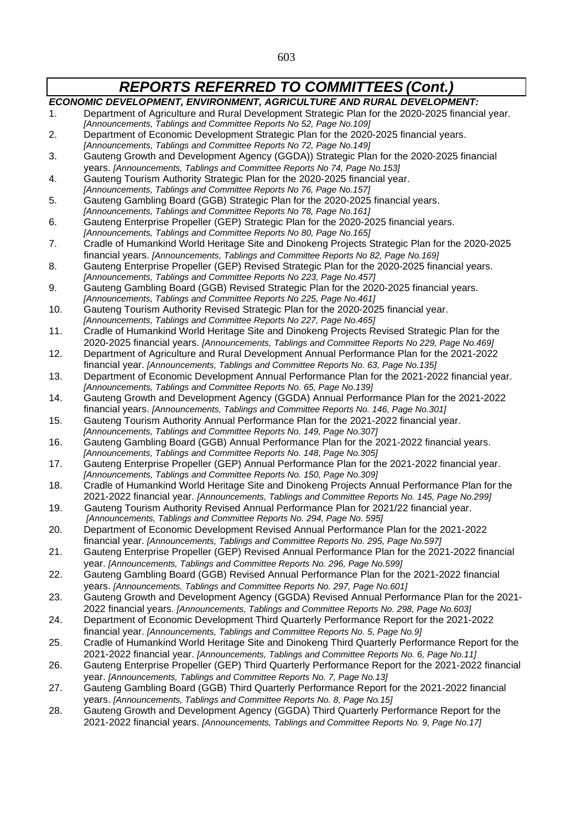603

# *REPORTS REFERRED TO COMMITTEES (Cont.)*

*ECONOMIC DEVELOPMENT, ENVIRONMENT, AGRICULTURE AND RURAL DEVELOPMENT:* 1. Department of Agriculture and Rural Development Strategic Plan for the 2020-2025 financial year. *[Announcements, Tablings and Committee Reports No 52, Page No.109]* 2. Department of Economic Development Strategic Plan for the 2020-2025 financial years. *[Announcements, Tablings and Committee Reports No 72, Page No.149]* 3. Gauteng Growth and Development Agency (GGDA)) Strategic Plan for the 2020-2025 financial years. *[Announcements, Tablings and Committee Reports No 74, Page No.153]* 4. Gauteng Tourism Authority Strategic Plan for the 2020-2025 financial year. *[Announcements, Tablings and Committee Reports No 76, Page No.157]* 5. Gauteng Gambling Board (GGB) Strategic Plan for the 2020-2025 financial years. *[Announcements, Tablings and Committee Reports No 78, Page No.161]* 6. Gauteng Enterprise Propeller (GEP) Strategic Plan for the 2020-2025 financial years. *[Announcements, Tablings and Committee Reports No 80, Page No.165]* 7. Cradle of Humankind World Heritage Site and Dinokeng Projects Strategic Plan for the 2020-2025 financial years. *[Announcements, Tablings and Committee Reports No 82, Page No.169]* 8. Gauteng Enterprise Propeller (GEP) Revised Strategic Plan for the 2020-2025 financial years. *[Announcements, Tablings and Committee Reports No 223, Page No.457]* 9. Gauteng Gambling Board (GGB) Revised Strategic Plan for the 2020-2025 financial years. *[Announcements, Tablings and Committee Reports No 225, Page No.461]* 10. Gauteng Tourism Authority Revised Strategic Plan for the 2020-2025 financial year. *[Announcements, Tablings and Committee Reports No 227, Page No.465]* 11. Cradle of Humankind World Heritage Site and Dinokeng Projects Revised Strategic Plan for the 2020-2025 financial years. *[Announcements, Tablings and Committee Reports No 229, Page No.469]* 12. Department of Agriculture and Rural Development Annual Performance Plan for the 2021-2022 financial year. *[Announcements, Tablings and Committee Reports No. 63, Page No.135]* 13. Department of Economic Development Annual Performance Plan for the 2021-2022 financial year. *[Announcements, Tablings and Committee Reports No. 65, Page No.139]* 14. Gauteng Growth and Development Agency (GGDA) Annual Performance Plan for the 2021-2022 financial years. *[Announcements, Tablings and Committee Reports No. 146, Page No.301]* 15. Gauteng Tourism Authority Annual Performance Plan for the 2021-2022 financial year. *[Announcements, Tablings and Committee Reports No. 149, Page No.307]* 16. Gauteng Gambling Board (GGB) Annual Performance Plan for the 2021-2022 financial years. *[Announcements, Tablings and Committee Reports No. 148, Page No.305]* 17. Gauteng Enterprise Propeller (GEP) Annual Performance Plan for the 2021-2022 financial year. *[Announcements, Tablings and Committee Reports No. 150, Page No.309]* 18. Cradle of Humankind World Heritage Site and Dinokeng Projects Annual Performance Plan for the 2021-2022 financial year. *[Announcements, Tablings and Committee Reports No. 145, Page No.299]* 19. Gauteng Tourism Authority Revised Annual Performance Plan for 2021/22 financial year. *[Announcements, Tablings and Committee Reports No. 294, Page No. 595]* 20. Department of Economic Development Revised Annual Performance Plan for the 2021-2022 financial year. *[Announcements, Tablings and Committee Reports No. 295, Page No.597]* 21. Gauteng Enterprise Propeller (GEP) Revised Annual Performance Plan for the 2021-2022 financial year. *[Announcements, Tablings and Committee Reports No. 296, Page No.599]* 22. Gauteng Gambling Board (GGB) Revised Annual Performance Plan for the 2021-2022 financial years. *[Announcements, Tablings and Committee Reports No. 297, Page No.601]* 23. Gauteng Growth and Development Agency (GGDA) Revised Annual Performance Plan for the 2021- 2022 financial years. *[Announcements, Tablings and Committee Reports No. 298, Page No.603]* 24. Department of Economic Development Third Quarterly Performance Report for the 2021-2022 financial year. *[Announcements, Tablings and Committee Reports No. 5, Page No.9]* 25. Cradle of Humankind World Heritage Site and Dinokeng Third Quarterly Performance Report for the 2021-2022 financial year. *[Announcements, Tablings and Committee Reports No. 6, Page No.11]* 26. Gauteng Enterprise Propeller (GEP) Third Quarterly Performance Report for the 2021-2022 financial year. *[Announcements, Tablings and Committee Reports No. 7, Page No.13]* 27. Gauteng Gambling Board (GGB) Third Quarterly Performance Report for the 2021-2022 financial years. *[Announcements, Tablings and Committee Reports No. 8, Page No.15]* 28. Gauteng Growth and Development Agency (GGDA) Third Quarterly Performance Report for the 2021-2022 financial years. *[Announcements, Tablings and Committee Reports No. 9, Page No.17]*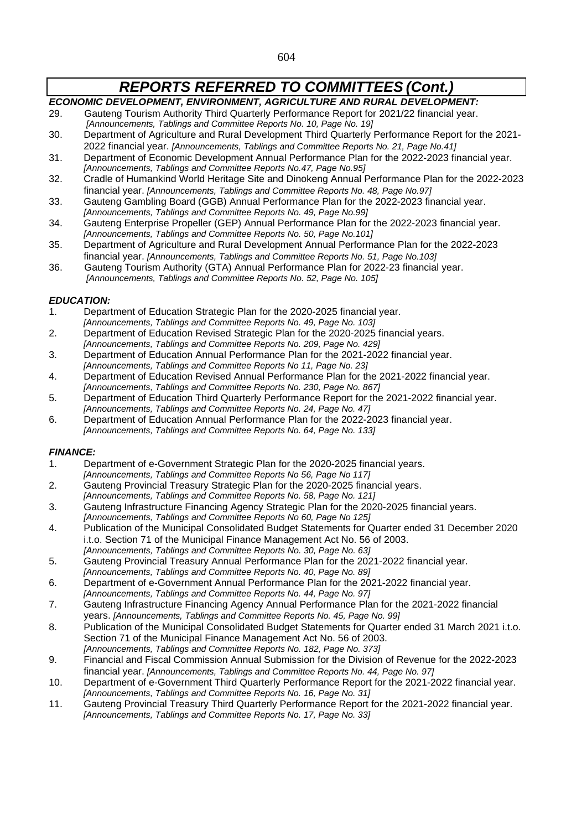# *ECONOMIC DEVELOPMENT, ENVIRONMENT, AGRICULTURE AND RURAL DEVELOPMENT:*

- 29. Gauteng Tourism Authority Third Quarterly Performance Report for 2021/22 financial year. *[Announcements, Tablings and Committee Reports No. 10, Page No. 19]*
- 30. Department of Agriculture and Rural Development Third Quarterly Performance Report for the 2021- 2022 financial year. *[Announcements, Tablings and Committee Reports No. 21, Page No.41]*
- 31. Department of Economic Development Annual Performance Plan for the 2022-2023 financial year. *[Announcements, Tablings and Committee Reports No.47, Page No.95]*
- 32. Cradle of Humankind World Heritage Site and Dinokeng Annual Performance Plan for the 2022-2023 financial year. *[Announcements, Tablings and Committee Reports No. 48, Page No.97]*
- 33. Gauteng Gambling Board (GGB) Annual Performance Plan for the 2022-2023 financial year. *[Announcements, Tablings and Committee Reports No. 49, Page No.99]*
- 34. Gauteng Enterprise Propeller (GEP) Annual Performance Plan for the 2022-2023 financial year. *[Announcements, Tablings and Committee Reports No. 50, Page No.101]*
- 35. Department of Agriculture and Rural Development Annual Performance Plan for the 2022-2023 financial year. *[Announcements, Tablings and Committee Reports No. 51, Page No.103]*
- 36. Gauteng Tourism Authority (GTA) Annual Performance Plan for 2022-23 financial year. *[Announcements, Tablings and Committee Reports No. 52, Page No. 105]*

### *EDUCATION:*

- 1. Department of Education Strategic Plan for the 2020-2025 financial year. *[Announcements, Tablings and Committee Reports No. 49, Page No. 103]*
- 2. Department of Education Revised Strategic Plan for the 2020-2025 financial years.
- *[Announcements, Tablings and Committee Reports No. 209, Page No. 429]*
- 3. Department of Education Annual Performance Plan for the 2021-2022 financial year. *[Announcements, Tablings and Committee Reports No 11, Page No. 23]*
- 4. Department of Education Revised Annual Performance Plan for the 2021-2022 financial year.
- *[Announcements, Tablings and Committee Reports No. 230, Page No. 867]* 5. Department of Education Third Quarterly Performance Report for the 2021-2022 financial year. *[Announcements, Tablings and Committee Reports No. 24, Page No. 47]*
- 6. Department of Education Annual Performance Plan for the 2022-2023 financial year. *[Announcements, Tablings and Committee Reports No. 64, Page No. 133]*

### *FINANCE:*

- 1. Department of e-Government Strategic Plan for the 2020-2025 financial years. *[Announcements, Tablings and Committee Reports No 56, Page No 117]*
- 2. Gauteng Provincial Treasury Strategic Plan for the 2020-2025 financial years. *[Announcements, Tablings and Committee Reports No. 58, Page No. 121]*
- 3. Gauteng Infrastructure Financing Agency Strategic Plan for the 2020-2025 financial years. *[Announcements, Tablings and Committee Reports No 60, Page No 125]*
- 4. Publication of the Municipal Consolidated Budget Statements for Quarter ended 31 December 2020 i.t.o. Section 71 of the Municipal Finance Management Act No. 56 of 2003.
- *[Announcements, Tablings and Committee Reports No. 30, Page No. 63]* 5. Gauteng Provincial Treasury Annual Performance Plan for the 2021-2022 financial year.
- *[Announcements, Tablings and Committee Reports No. 40, Page No. 89]*
- 6. Department of e-Government Annual Performance Plan for the 2021-2022 financial year. *[Announcements, Tablings and Committee Reports No. 44, Page No. 97]*
- 7. Gauteng Infrastructure Financing Agency Annual Performance Plan for the 2021-2022 financial years. *[Announcements, Tablings and Committee Reports No. 45, Page No. 99]*
- 8. Publication of the Municipal Consolidated Budget Statements for Quarter ended 31 March 2021 i.t.o. Section 71 of the Municipal Finance Management Act No. 56 of 2003. *[Announcements, Tablings and Committee Reports No. 182, Page No. 373]*
- 9. Financial and Fiscal Commission Annual Submission for the Division of Revenue for the 2022-2023 financial year. *[Announcements, Tablings and Committee Reports No. 44, Page No. 97]*
- 10. Department of e-Government Third Quarterly Performance Report for the 2021-2022 financial year. *[Announcements, Tablings and Committee Reports No. 16, Page No. 31]*
- 11. Gauteng Provincial Treasury Third Quarterly Performance Report for the 2021-2022 financial year. *[Announcements, Tablings and Committee Reports No. 17, Page No. 33]*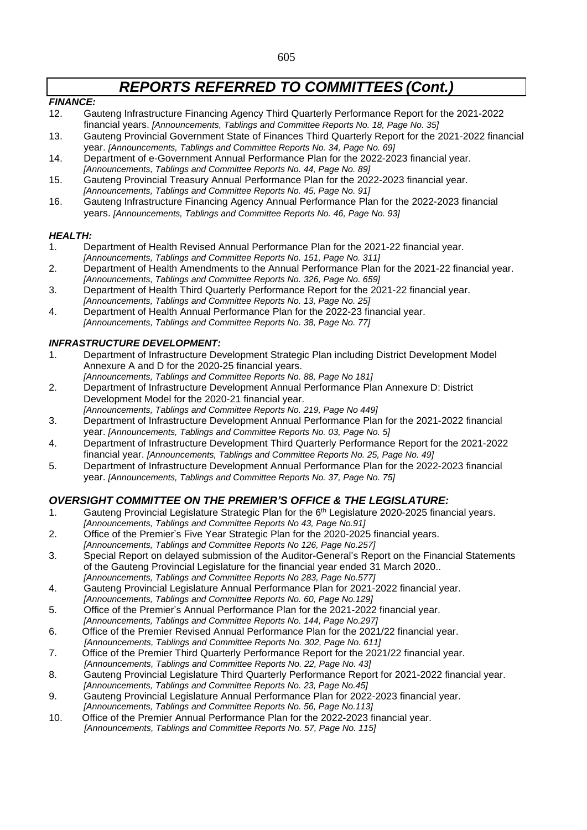### *FINANCE:*

- 12. Gauteng Infrastructure Financing Agency Third Quarterly Performance Report for the 2021-2022 financial years. *[Announcements, Tablings and Committee Reports No. 18, Page No. 35]*
- 13. Gauteng Provincial Government State of Finances Third Quarterly Report for the 2021-2022 financial year. *[Announcements, Tablings and Committee Reports No. 34, Page No. 69]*
- 14. Department of e-Government Annual Performance Plan for the 2022-2023 financial year. *[Announcements, Tablings and Committee Reports No. 44, Page No. 89]*
- 15. Gauteng Provincial Treasury Annual Performance Plan for the 2022-2023 financial year. *[Announcements, Tablings and Committee Reports No. 45, Page No. 91]*
- 16. Gauteng Infrastructure Financing Agency Annual Performance Plan for the 2022-2023 financial years. *[Announcements, Tablings and Committee Reports No. 46, Page No. 93]*

### *HEALTH:*

- 1. Department of Health Revised Annual Performance Plan for the 2021-22 financial year. *[Announcements, Tablings and Committee Reports No. 151, Page No. 311]*
- 2. Department of Health Amendments to the Annual Performance Plan for the 2021-22 financial year. *[Announcements, Tablings and Committee Reports No. 326, Page No. 659]*
- 3. Department of Health Third Quarterly Performance Report for the 2021-22 financial year. *[Announcements, Tablings and Committee Reports No. 13, Page No. 25]*
- 4. Department of Health Annual Performance Plan for the 2022-23 financial year. *[Announcements, Tablings and Committee Reports No. 38, Page No. 77]*

### *INFRASTRUCTURE DEVELOPMENT:*

- 1. Department of Infrastructure Development Strategic Plan including District Development Model Annexure A and D for the 2020-25 financial years.
- *[Announcements, Tablings and Committee Reports No. 88, Page No 181]* 2. Department of Infrastructure Development Annual Performance Plan Annexure D: District Development Model for the 2020-21 financial year.
- *[Announcements, Tablings and Committee Reports No. 219, Page No 449]* 3. Department of Infrastructure Development Annual Performance Plan for the 2021-2022 financial year. *[Announcements, Tablings and Committee Reports No. 03, Page No. 5]*
- 4. Department of Infrastructure Development Third Quarterly Performance Report for the 2021-2022 financial year. *[Announcements, Tablings and Committee Reports No. 25, Page No. 49]*
- 5. Department of Infrastructure Development Annual Performance Plan for the 2022-2023 financial year. *[Announcements, Tablings and Committee Reports No. 37, Page No. 75]*

### *OVERSIGHT COMMITTEE ON THE PREMIER'S OFFICE & THE LEGISLATURE:*

- 1. Gauteng Provincial Legislature Strategic Plan for the 6<sup>th</sup> Legislature 2020-2025 financial years.
- *[Announcements, Tablings and Committee Reports No 43, Page No.91]* 2. Office of the Premier's Five Year Strategic Plan for the 2020-2025 financial years.
- *[Announcements, Tablings and Committee Reports No 126, Page No.257]* 3. Special Report on delayed submission of the Auditor-General's Report on the Financial Statements of the Gauteng Provincial Legislature for the financial year ended 31 March 2020..
- *[Announcements, Tablings and Committee Reports No 283, Page No.577]* 4. Gauteng Provincial Legislature Annual Performance Plan for 2021-2022 financial year.
- *[Announcements, Tablings and Committee Reports No. 60, Page No.129]* 5. Office of the Premier's Annual Performance Plan for the 2021-2022 financial year.
- *[Announcements, Tablings and Committee Reports No. 144, Page No.297]*
- 6. Office of the Premier Revised Annual Performance Plan for the 2021/22 financial year. *[Announcements, Tablings and Committee Reports No. 302, Page No. 611]*
- 7. Office of the Premier Third Quarterly Performance Report for the 2021/22 financial year. *[Announcements, Tablings and Committee Reports No. 22, Page No. 43]*
- 8. Gauteng Provincial Legislature Third Quarterly Performance Report for 2021-2022 financial year. *[Announcements, Tablings and Committee Reports No. 23, Page No.45]*
- 9. Gauteng Provincial Legislature Annual Performance Plan for 2022-2023 financial year.
- *[Announcements, Tablings and Committee Reports No. 56, Page No.113]*
- 10. Office of the Premier Annual Performance Plan for the 2022-2023 financial year. *[Announcements, Tablings and Committee Reports No. 57, Page No. 115]*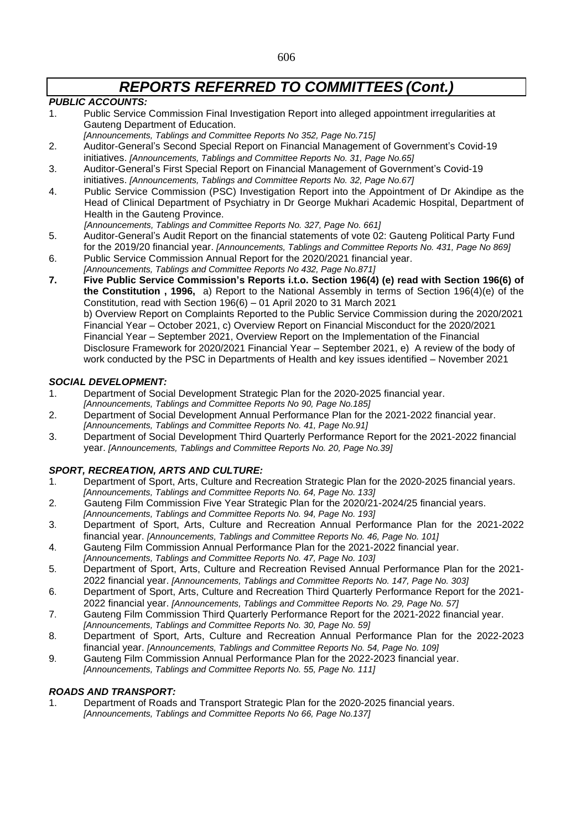### *PUBLIC ACCOUNTS:*

- 1. Public Service Commission Final Investigation Report into alleged appointment irregularities at Gauteng Department of Education.
- *[Announcements, Tablings and Committee Reports No 352, Page No.715]*
- 2. Auditor-General's Second Special Report on Financial Management of Government's Covid-19 initiatives. *[Announcements, Tablings and Committee Reports No. 31, Page No.65]*
- 3. Auditor-General's First Special Report on Financial Management of Government's Covid-19 initiatives. *[Announcements, Tablings and Committee Reports No. 32, Page No.67]*
- 4. Public Service Commission (PSC) Investigation Report into the Appointment of Dr Akindipe as the Head of Clinical Department of Psychiatry in Dr George Mukhari Academic Hospital, Department of Health in the Gauteng Province.
	- *[Announcements, Tablings and Committee Reports No. 327, Page No. 661]*
- 5. Auditor-General's Audit Report on the financial statements of vote 02: Gauteng Political Party Fund for the 2019/20 financial year. *[Announcements, Tablings and Committee Reports No. 431, Page No 869]*
- 6. Public Service Commission Annual Report for the 2020/2021 financial year. *[Announcements, Tablings and Committee Reports No 432, Page No.871]*
- **7. Five Public Service Commission's Reports i.t.o. Section 196(4) (e) read with Section 196(6) of the Constitution , 1996,** a) Report to the National Assembly in terms of Section 196(4)(e) of the Constitution, read with Section 196(6) – 01 April 2020 to 31 March 2021 b) Overview Report on Complaints Reported to the Public Service Commission during the 2020/2021 Financial Year – October 2021, c) Overview Report on Financial Misconduct for the 2020/2021 Financial Year – September 2021, Overview Report on the Implementation of the Financial Disclosure Framework for 2020/2021 Financial Year – September 2021, e) A review of the body of work conducted by the PSC in Departments of Health and key issues identified – November 2021

### *SOCIAL DEVELOPMENT:*

- 1. Department of Social Development Strategic Plan for the 2020-2025 financial year.
- *[Announcements, Tablings and Committee Reports No 90, Page No.185]*
- 2. Department of Social Development Annual Performance Plan for the 2021-2022 financial year. *[Announcements, Tablings and Committee Reports No. 41, Page No.91]*
- 3. Department of Social Development Third Quarterly Performance Report for the 2021-2022 financial year. *[Announcements, Tablings and Committee Reports No. 20, Page No.39]*

### *SPORT, RECREATION, ARTS AND CULTURE:*

- 1. Department of Sport, Arts, Culture and Recreation Strategic Plan for the 2020-2025 financial years. *[Announcements, Tablings and Committee Reports No. 64, Page No. 133]*
- 2. Gauteng Film Commission Five Year Strategic Plan for the 2020/21-2024/25 financial years.
- *[Announcements, Tablings and Committee Reports No. 94, Page No. 193]*
- 3. Department of Sport, Arts, Culture and Recreation Annual Performance Plan for the 2021-2022 financial year. *[Announcements, Tablings and Committee Reports No. 46, Page No. 101]*
- 4. Gauteng Film Commission Annual Performance Plan for the 2021-2022 financial year.
- *[Announcements, Tablings and Committee Reports No. 47, Page No. 103]*
- 5. Department of Sport, Arts, Culture and Recreation Revised Annual Performance Plan for the 2021- 2022 financial year. *[Announcements, Tablings and Committee Reports No. 147, Page No. 303]*
- 6. Department of Sport, Arts, Culture and Recreation Third Quarterly Performance Report for the 2021- 2022 financial year. *[Announcements, Tablings and Committee Reports No. 29, Page No. 57]*
- 7. Gauteng Film Commission Third Quarterly Performance Report for the 2021-2022 financial year. *[Announcements, Tablings and Committee Reports No. 30, Page No. 59]*
- 8. Department of Sport, Arts, Culture and Recreation Annual Performance Plan for the 2022-2023 financial year. *[Announcements, Tablings and Committee Reports No. 54, Page No. 109]*
- 9. Gauteng Film Commission Annual Performance Plan for the 2022-2023 financial year. *[Announcements, Tablings and Committee Reports No. 55, Page No. 111]*

### *ROADS AND TRANSPORT:*

1. Department of Roads and Transport Strategic Plan for the 2020-2025 financial years. *[Announcements, Tablings and Committee Reports No 66, Page No.137]*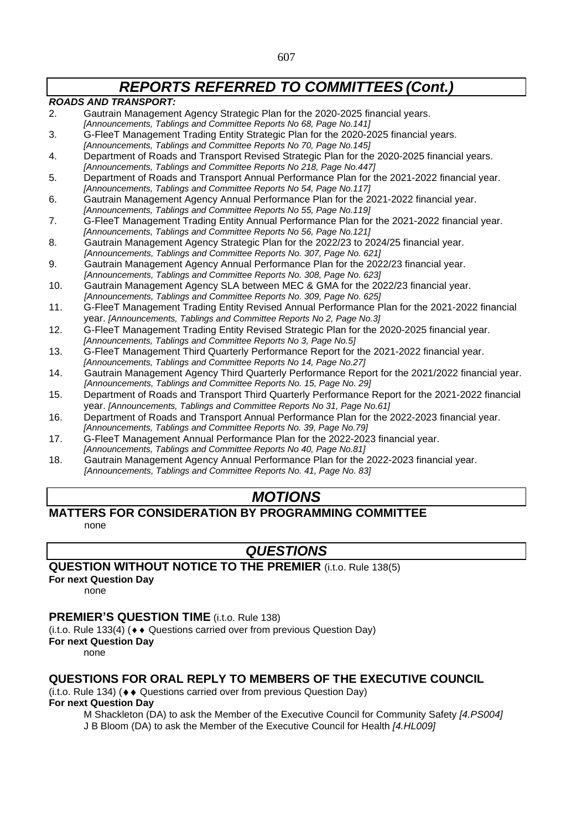### *ROADS AND TRANSPORT:*

- 2. Gautrain Management Agency Strategic Plan for the 2020-2025 financial years. *[Announcements, Tablings and Committee Reports No 68, Page No.141]*
- 3. G-FleeT Management Trading Entity Strategic Plan for the 2020-2025 financial years. *[Announcements, Tablings and Committee Reports No 70, Page No.145]*
- 4. Department of Roads and Transport Revised Strategic Plan for the 2020-2025 financial years. *[Announcements, Tablings and Committee Reports No 218, Page No.447]*
- 5. Department of Roads and Transport Annual Performance Plan for the 2021-2022 financial year. *[Announcements, Tablings and Committee Reports No 54, Page No.117]*
- 6. Gautrain Management Agency Annual Performance Plan for the 2021-2022 financial year. *[Announcements, Tablings and Committee Reports No 55, Page No.119]*
- 7. G-FleeT Management Trading Entity Annual Performance Plan for the 2021-2022 financial year. *[Announcements, Tablings and Committee Reports No 56, Page No.121]*
- 8. Gautrain Management Agency Strategic Plan for the 2022/23 to 2024/25 financial year. *[Announcements, Tablings and Committee Reports No. 307, Page No. 621]*
- 9. Gautrain Management Agency Annual Performance Plan for the 2022/23 financial year. *[Announcements, Tablings and Committee Reports No. 308, Page No. 623]*
- 10. Gautrain Management Agency SLA between MEC & GMA for the 2022/23 financial year. *[Announcements, Tablings and Committee Reports No. 309, Page No. 625]*
- 11. G-FleeT Management Trading Entity Revised Annual Performance Plan for the 2021-2022 financial year. *[Announcements, Tablings and Committee Reports No 2, Page No.3]*
- 12. G-FleeT Management Trading Entity Revised Strategic Plan for the 2020-2025 financial year. *[Announcements, Tablings and Committee Reports No 3, Page No.5]*
- 13. G-FleeT Management Third Quarterly Performance Report for the 2021-2022 financial year. *[Announcements, Tablings and Committee Reports No 14, Page No.27]*
- 14. Gautrain Management Agency Third Quarterly Performance Report for the 2021/2022 financial year. *[Announcements, Tablings and Committee Reports No. 15, Page No. 29]*
- 15. Department of Roads and Transport Third Quarterly Performance Report for the 2021-2022 financial year. *[Announcements, Tablings and Committee Reports No 31, Page No.61]*
- 16. Department of Roads and Transport Annual Performance Plan for the 2022-2023 financial year. *[Announcements, Tablings and Committee Reports No. 39, Page No.79]*
- 17. G-FleeT Management Annual Performance Plan for the 2022-2023 financial year. *[Announcements, Tablings and Committee Reports No 40, Page No.81]*
- 18. Gautrain Management Agency Annual Performance Plan for the 2022-2023 financial year. *[Announcements, Tablings and Committee Reports No. 41, Page No. 83]*

# *MOTIONS*

# **MATTERS FOR CONSIDERATION BY PROGRAMMING COMMITTEE**

none

# *QUESTIONS*

### **QUESTION WITHOUT NOTICE TO THE PREMIER** (i.t.o. Rule 138(5)

**For next Question Day**

none

# **PREMIER'S QUESTION TIME** (i.t.o. Rule 138)

(i.t.o. Rule 133(4) ( $\leftrightarrow$  Questions carried over from previous Question Day)

### **For next Question Day**

none

# **QUESTIONS FOR ORAL REPLY TO MEMBERS OF THE EXECUTIVE COUNCIL**

 $(i.t. o. Rule 134)$  ( $\leftrightarrow$  Questions carried over from previous Question Day)

**For next Question Day**

M Shackleton (DA) to ask the Member of the Executive Council for Community Safety *[4.PS004]* J B Bloom (DA) to ask the Member of the Executive Council for Health *[4.HL009]*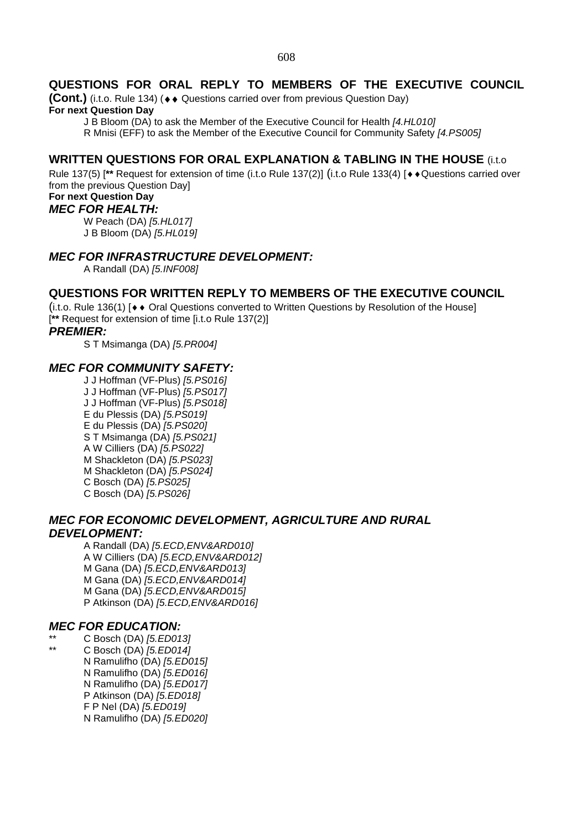# **QUESTIONS FOR ORAL REPLY TO MEMBERS OF THE EXECUTIVE COUNCIL**

**(Cont.)** (i.t.o. Rule 134) (♦ ♦ Questions carried over from previous Question Day)

### **For next Question Day**

J B Bloom (DA) to ask the Member of the Executive Council for Health *[4.HL010]*

R Mnisi (EFF) to ask the Member of the Executive Council for Community Safety *[4.PS005]*

# **WRITTEN QUESTIONS FOR ORAL EXPLANATION & TABLING IN THE HOUSE** (i.t.o

Rule 137(5) [<sup>\*\*</sup> Request for extension of time (i.t.o Rule 137(2)] (i.t.o Rule 133(4) [♦ ♦ Questions carried over from the previous Question Day]

# **For next Question Day**

*MEC FOR HEALTH:*

W Peach (DA) *[5.HL017]* J B Bloom (DA) *[5.HL019]*

# *MEC FOR INFRASTRUCTURE DEVELOPMENT:*

A Randall (DA) *[5.INF008]*

# **QUESTIONS FOR WRITTEN REPLY TO MEMBERS OF THE EXECUTIVE COUNCIL**

(i.t.o. Rule 136(1) [ $\leftrightarrow$  Oral Questions converted to Written Questions by Resolution of the House] [**\*\*** Request for extension of time [i.t.o Rule 137(2)]

### *PREMIER:*

S T Msimanga (DA) *[5.PR004]*

# *MEC FOR COMMUNITY SAFETY:*

J J Hoffman (VF-Plus) *[5.PS016]* J J Hoffman (VF-Plus) *[5.PS017]* J J Hoffman (VF-Plus) *[5.PS018]* E du Plessis (DA) *[5.PS019]* E du Plessis (DA) *[5.PS020]* S T Msimanga (DA) *[5.PS021]* A W Cilliers (DA) *[5.PS022]* M Shackleton (DA) *[5.PS023]* M Shackleton (DA) *[5.PS024]* C Bosch (DA) *[5.PS025]* C Bosch (DA) *[5.PS026]*

# *MEC FOR ECONOMIC DEVELOPMENT, AGRICULTURE AND RURAL DEVELOPMENT:*

A Randall (DA) *[5.ECD,ENV&ARD010]* A W Cilliers (DA) *[5.ECD,ENV&ARD012]* M Gana (DA) *[5.ECD,ENV&ARD013]* M Gana (DA) *[5.ECD,ENV&ARD014]* M Gana (DA) *[5.ECD,ENV&ARD015]* P Atkinson (DA) *[5.ECD,ENV&ARD016]*

# *MEC FOR EDUCATION:*

- \*\* C Bosch (DA) *[5.ED013]*
	- \*\* C Bosch (DA) *[5.ED014]* N Ramulifho (DA) *[5.ED015]* N Ramulifho (DA) *[5.ED016]* N Ramulifho (DA) *[5.ED017]*
		- P Atkinson (DA) *[5.ED018]*
		- F P Nel (DA) *[5.ED019]*
		- N Ramulifho (DA) *[5.ED020]*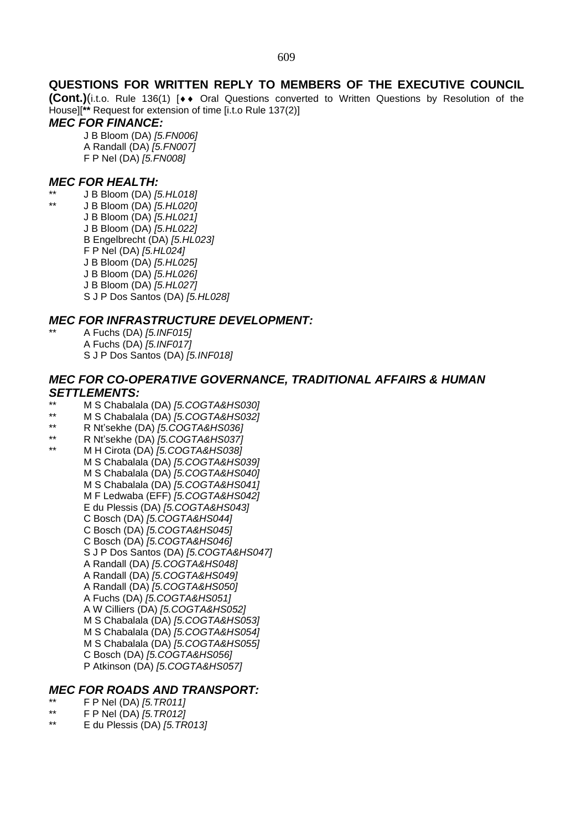# **QUESTIONS FOR WRITTEN REPLY TO MEMBERS OF THE EXECUTIVE COUNCIL**

**(Cont.)**(i.t.o. Rule 136(1) [◆◆ Oral Questions converted to Written Questions by Resolution of the House][**\*\*** Request for extension of time [i.t.o Rule 137(2)]

### *MEC FOR FINANCE:*

J B Bloom (DA) *[5.FN006]* A Randall (DA) *[5.FN007]* F P Nel (DA) *[5.FN008]*

### *MEC FOR HEALTH:*

- \*\* J B Bloom (DA) *[5.HL018]*
	- \*\* J B Bloom (DA) *[5.HL020]*
		- J B Bloom (DA) *[5.HL021]*
			- J B Bloom (DA) *[5.HL022]*
			- B Engelbrecht (DA) *[5.HL023]*
			- F P Nel (DA) *[5.HL024]*
			- J B Bloom (DA) *[5.HL025]*
			- J B Bloom (DA) *[5.HL026]* J B Bloom (DA) *[5.HL027]*
			- S J P Dos Santos (DA) *[5.HL028]*

# *MEC FOR INFRASTRUCTURE DEVELOPMENT:*

\*\* A Fuchs (DA) *[5.INF015]* A Fuchs (DA) *[5.INF017]* S J P Dos Santos (DA) *[5.INF018]*

# *MEC FOR CO-OPERATIVE GOVERNANCE, TRADITIONAL AFFAIRS & HUMAN SETTLEMENTS:*

- \*\* M S Chabalala (DA) *[5.COGTA&HS030]*
- \*\* M S Chabalala (DA) *[5.COGTA&HS032]*
- \*\* R Nt'sekhe (DA) *[5.COGTA&HS036]*
- \*\* R Nt'sekhe (DA) *[5.COGTA&HS037]*
- \*\* M H Cirota (DA) *[5.COGTA&HS038]* M S Chabalala (DA) *[5.COGTA&HS039]* M S Chabalala (DA) *[5.COGTA&HS040]* M S Chabalala (DA) *[5.COGTA&HS041]* M F Ledwaba (EFF) *[5.COGTA&HS042]* E du Plessis (DA) *[5.COGTA&HS043]* C Bosch (DA) *[5.COGTA&HS044]* C Bosch (DA) *[5.COGTA&HS045]* C Bosch (DA) *[5.COGTA&HS046]* S J P Dos Santos (DA) *[5.COGTA&HS047]* A Randall (DA) *[5.COGTA&HS048]* A Randall (DA) *[5.COGTA&HS049]* A Randall (DA) *[5.COGTA&HS050]* A Fuchs (DA) *[5.COGTA&HS051]* A W Cilliers (DA) *[5.COGTA&HS052]* M S Chabalala (DA) *[5.COGTA&HS053]* M S Chabalala (DA) *[5.COGTA&HS054]* M S Chabalala (DA) *[5.COGTA&HS055]* C Bosch (DA) *[5.COGTA&HS056]* P Atkinson (DA) *[5.COGTA&HS057]*

### *MEC FOR ROADS AND TRANSPORT:*

- \*\* F P Nel (DA) *[5.TR011]*
- \*\* F P Nel (DA) *[5.TR012]*
- \*\* E du Plessis (DA) *[5.TR013]*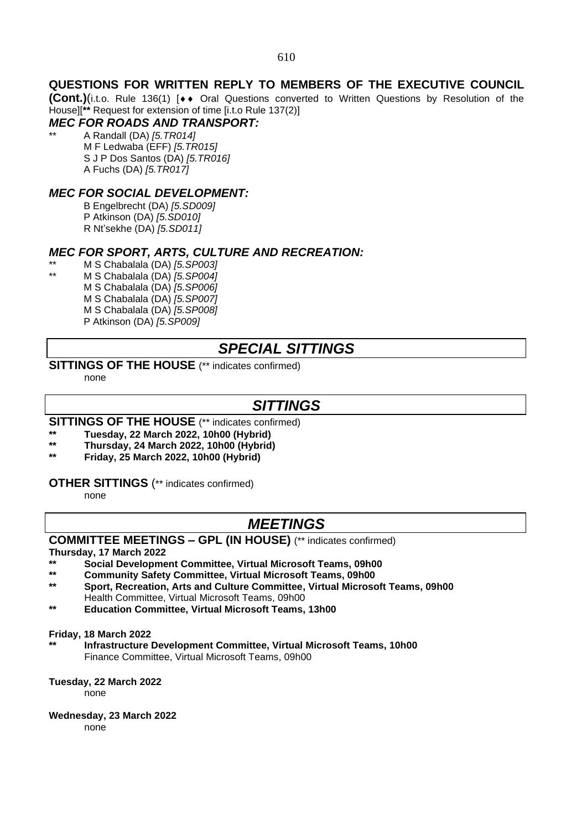# **QUESTIONS FOR WRITTEN REPLY TO MEMBERS OF THE EXECUTIVE COUNCIL**

**(Cont.)**(i.t.o. Rule 136(1) [♦♦ Oral Questions converted to Written Questions by Resolution of the House][**\*\*** Request for extension of time [i.t.o Rule 137(2)]

# *MEC FOR ROADS AND TRANSPORT:*

\*\* A Randall (DA) *[5.TR014]* M F Ledwaba (EFF) *[5.TR015]* S J P Dos Santos (DA) *[5.TR016]* A Fuchs (DA) *[5.TR017]*

# *MEC FOR SOCIAL DEVELOPMENT:*

B Engelbrecht (DA) *[5.SD009]* P Atkinson (DA) *[5.SD010]* R Nt'sekhe (DA) *[5.SD011]*

### *MEC FOR SPORT, ARTS, CULTURE AND RECREATION:*

\*\* M S Chabalala (DA) *[5.SP003]* \*\* M S Chabalala (DA) *[5.SP004]* M S Chabalala (DA) *[5.SP006]* M S Chabalala (DA) *[5.SP007]* M S Chabalala (DA) *[5.SP008]* P Atkinson (DA) *[5.SP009]*

# *SPECIAL SITTINGS*

### **SITTINGS OF THE HOUSE** (\*\* indicates confirmed)

none

# *SITTINGS*

# **SITTINGS OF THE HOUSE** (\*\* indicates confirmed)

- **\*\* Tuesday, 22 March 2022, 10h00 (Hybrid)**
- **\*\* Thursday, 24 March 2022, 10h00 (Hybrid)**
- **\*\* Friday, 25 March 2022, 10h00 (Hybrid)**

### **OTHER SITTINGS** (\*\* indicates confirmed)

none

# *MEETINGS*

### **COMMITTEE MEETINGS – GPL (IN HOUSE)** (\*\* indicates confirmed)

#### **Thursday, 17 March 2022**

- **\*\* Social Development Committee, Virtual Microsoft Teams, 09h00**
- **\*\* Community Safety Committee, Virtual Microsoft Teams, 09h00**
- **\*\* Sport, Recreation, Arts and Culture Committee, Virtual Microsoft Teams, 09h00** Health Committee, Virtual Microsoft Teams, 09h00
- **\*\* Education Committee, Virtual Microsoft Teams, 13h00**

#### **Friday, 18 March 2022**

**\*\* Infrastructure Development Committee, Virtual Microsoft Teams, 10h00** Finance Committee, Virtual Microsoft Teams, 09h00

#### **Tuesday, 22 March 2022**

none

#### **Wednesday, 23 March 2022**

none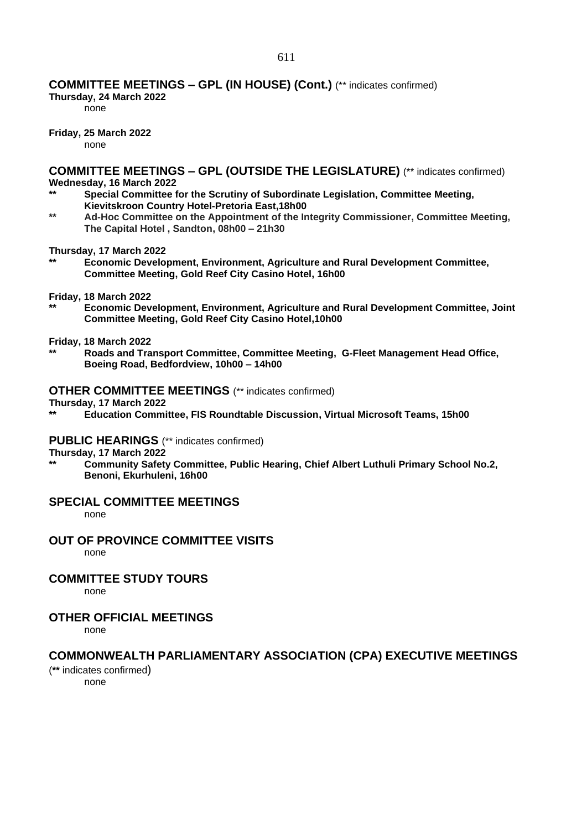### **COMMITTEE MEETINGS – GPL (IN HOUSE) (Cont.)** (\*\* indicates confirmed)

**Thursday, 24 March 2022**

none

**Friday, 25 March 2022**

none

**COMMITTEE MEETINGS – GPL (OUTSIDE THE LEGISLATURE)** (\*\* indicates confirmed) **Wednesday, 16 March 2022**

- **\*\* Special Committee for the Scrutiny of Subordinate Legislation, Committee Meeting, Kievitskroon Country Hotel-Pretoria East,18h00**
- **\*\* Ad-Hoc Committee on the Appointment of the Integrity Commissioner, Committee Meeting, The Capital Hotel , Sandton, 08h00 – 21h30**

**Thursday, 17 March 2022**

**\*\* Economic Development, Environment, Agriculture and Rural Development Committee, Committee Meeting, Gold Reef City Casino Hotel, 16h00** 

**Friday, 18 March 2022**

**\*\* Economic Development, Environment, Agriculture and Rural Development Committee, Joint Committee Meeting, Gold Reef City Casino Hotel,10h00** 

### **Friday, 18 March 2022**

**\*\* Roads and Transport Committee, Committee Meeting, G-Fleet Management Head Office, Boeing Road, Bedfordview, 10h00 – 14h00**

#### **OTHER COMMITTEE MEETINGS** (\*\* indicates confirmed)

**Thursday, 17 March 2022**

**\*\* Education Committee, FIS Roundtable Discussion, Virtual Microsoft Teams, 15h00**

#### **PUBLIC HEARINGS** (\*\* indicates confirmed)

**Thursday, 17 March 2022** 

**\*\* Community Safety Committee, Public Hearing, Chief Albert Luthuli Primary School No.2, Benoni, Ekurhuleni, 16h00**

### **SPECIAL COMMITTEE MEETINGS**

none

### **OUT OF PROVINCE COMMITTEE VISITS**

none

### **COMMITTEE STUDY TOURS**

none

### **OTHER OFFICIAL MEETINGS**

none

### **COMMONWEALTH PARLIAMENTARY ASSOCIATION (CPA) EXECUTIVE MEETINGS**

(**\*\*** indicates confirmed) none